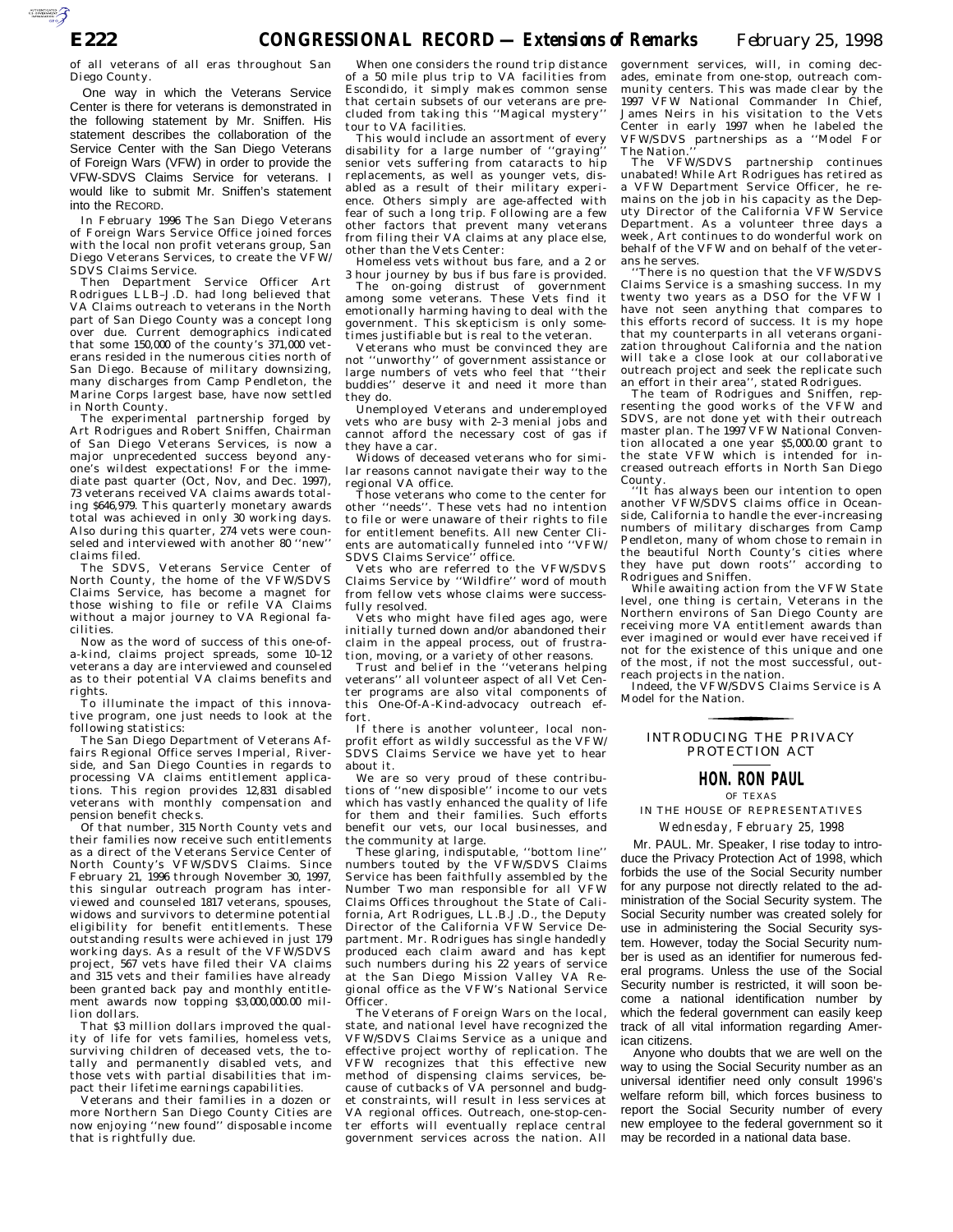of all veterans of all eras throughout San Diego County.

One way in which the Veterans Service Center is there for veterans is demonstrated in the following statement by Mr. Sniffen. His statement describes the collaboration of the Service Center with the San Diego Veterans of Foreign Wars (VFW) in order to provide the VFW-SDVS Claims Service for veterans. I would like to submit Mr. Sniffen's statement into the RECORD.

In February 1996 The San Diego Veterans of Foreign Wars Service Office joined forces with the local non profit veterans group, San Diego Veterans Services, to create the VFW/ SDVS Claims Service.

Then Department Service Officer Art Rodrigues LLB–J.D. had long believed that VA Claims outreach to veterans in the North part of San Diego County was a concept long over due. Current demographics indicated that some 150,000 of the county's 371,000 veterans resided in the numerous cities north of San Diego. Because of military downsizing, many discharges from Camp Pendleton, the Marine Corps largest base, have now settled in North County.

The experimental partnership forged by Art Rodrigues and Robert Sniffen, Chairman of San Diego Veterans Services, is now a major unprecedented success beyond anyone's wildest expectations! For the immediate past quarter (Oct, Nov, and Dec. 1997), 73 veterans received VA claims awards totaling \$646,979. This quarterly monetary awards total was achieved in only 30 working days. Also during this quarter, 274 vets were counseled and interviewed with another 80 ''new'' claims filed.

The SDVS, Veterans Service Center of North County, the home of the VFW/SDVS Claims Service, has become a magnet for those wishing to file or refile VA Claims without a major journey to VA Regional facilities.

Now as the word of success of this one-ofa-kind, claims project spreads, some 10–12 veterans a day are interviewed and counseled as to their potential VA claims benefits and rights.

To illuminate the impact of this innovative program, one just needs to look at the following statistics:

The San Diego Department of Veterans Affairs Regional Office serves Imperial, Riverside, and San Diego Counties in regards to processing VA claims entitlement applications. This region provides 12,831 disabled veterans with monthly compensation and pension benefit checks.

Of that number, 315 North County vets and their families now receive such entitlements as a direct of the Veterans Service Center of North County's VFW/SDVS Claims. Since February 21, 1996 through November 30, 1997, this singular outreach program has interviewed and counseled 1817 veterans, spouses, widows and survivors to determine potential eligibility for benefit entitlements. These outstanding results were achieved in just 179 working days. As a result of the VFW/SDVS project, 567 vets have filed their VA claims and 315 vets and their families have already been granted back pay and monthly entitlement awards now topping \$3,000,000.00 million dollars.

That \$3 million dollars improved the quality of life for vets families, homeless vets, surviving children of deceased vets, the totally and permanently disabled vets, and those vets with partial disabilities that impact their lifetime earnings capabilities.

Veterans and their families in a dozen or more Northern San Diego County Cities are now enjoying ''new found'' disposable income that is rightfully due.

When one considers the round trip distance of a 50 mile plus trip to VA facilities from Escondido, it simply makes common sense that certain subsets of our veterans are precluded from taking this ''Magical mystery'' tour to VA facilities.

This would include an assortment of every disability for a large number of ''graying'' senior vets suffering from cataracts to hip replacements, as well as younger vets, disabled as a result of their military experience. Others simply are age-affected with fear of such a long trip. Following are a few other factors that prevent many veterans from filing their VA claims at any place else, other than the Vets Center:

Homeless vets without bus fare, and a 2 or 3 hour journey by bus if bus fare is provided.

The on-going distrust of government among some veterans. These Vets find it emotionally harming having to deal with the government. This skepticism is only sometimes justifiable but is real to the veteran.

Veterans who must be convinced they are not ''unworthy'' of government assistance or large numbers of vets who feel that ''their buddies'' deserve it and need it more than they do.

Unemployed Veterans and underemployed vets who are busy with 2–3 menial jobs and cannot afford the necessary cost of gas if they have a car.

Widows of deceased veterans who for similar reasons cannot navigate their way to the regional VA office.

Those veterans who come to the center for other ''needs''. These vets had no intention to file or were unaware of their rights to file for entitlement benefits. All new Center Clients are automatically funneled into ''VFW/ SDVS Claims Service'' office.

Vets who are referred to the VFW/SDVS Claims Service by ''Wildfire'' word of mouth from fellow vets whose claims were successfully resolved.

Vets who might have filed ages ago, were initially turned down and/or abandoned their claim in the appeal process, out of frustration, moving, or a variety of other reasons.

Trust and belief in the ''veterans helping veterans'' all volunteer aspect of all Vet Center programs are also vital components of this One-Of-A-Kind-advocacy outreach effort.

If there is another volunteer, local nonprofit effort as wildly successful as the VFW/ SDVS Claims Service we have yet to hear about it.

We are so very proud of these contributions of ''new disposible'' income to our vets which has vastly enhanced the quality of life for them and their families. Such efforts benefit our vets, our local businesses, and the community at large.

These glaring, indisputable, ''bottom line'' numbers touted by the VFW/SDVS Claims Service has been faithfully assembled by the Number Two man responsible for all VFW Claims Offices throughout the State of California, Art Rodrigues, LL.B.J.D., the Deputy Director of the California VFW Service Department. Mr. Rodrigues has single handedly produced each claim award and has kept such numbers during his 22 years of service at the San Diego Mission Valley VA Regional office as the VFW's National Service Officer.

The Veterans of Foreign Wars on the local, state, and national level have recognized the VFW/SDVS Claims Service as a unique and effective project worthy of replication. The VFW recognizes that this effective new method of dispensing claims services, because of cutbacks of VA personnel and budget constraints, will result in less services at VA regional offices. Outreach, one-stop-center efforts will eventually replace central government services across the nation. All government services, will, in coming decades, eminate from one-stop, outreach community centers. This was made clear by the 1997 VFW National Commander In Chief, James Neirs in his visitation to the Vets Center in early 1997 when he labeled the VFW/SDVS partnerships as a ''Model For The Nation.

The VFW/SDVS partnership continues unabated! While Art Rodrigues has retired as a VFW Department Service Officer, he remains on the job in his capacity as the Deputy Director of the California VFW Service Department. As a volunteer three days a week, Art continues to do wonderful work on behalf of the VFW and on behalf of the veterans he serves.

''There is no question that the VFW/SDVS Claims Service is a smashing success. In my twenty two years as a DSO for the VFW I have not seen anything that compares to this efforts record of success. It is my hope that my counterparts in all veterans organization throughout California and the nation will take a close look at our collaborative outreach project and seek the replicate such an effort in their area'', stated Rodrigues.

The team of Rodrigues and Sniffen, representing the good works of the VFW and SDVS, are not done yet with their outreach master plan. The 1997 VFW National Convention allocated a one year \$5,000.00 grant to the state VFW which is intended for increased outreach efforts in North San Diego County.

'It has always been our intention to open another VFW/SDVS claims office in Oceanside, California to handle the ever-increasing numbers of military discharges from Camp Pendleton, many of whom chose to remain in the beautiful North County's cities where they have put down roots'' according to Rodrigues and Sniffen.

While awaiting action from the VFW State level, one thing is certain, Veterans in the Northern environs of San Diego County are receiving more VA entitlement awards than ever imagined or would ever have received if not for the existence of this unique and one of the most, if not the most successful, outreach projects in the nation.

Indeed, the VFW/SDVS Claims Service is A Model for the Nation. for the control of the control of

#### INTRODUCING THE PRIVACY PROTECTION ACT

## **HON. RON PAUL**

OF TEXAS

IN THE HOUSE OF REPRESENTATIVES

*Wednesday, February 25, 1998*

Mr. PAUL. Mr. Speaker, I rise today to introduce the Privacy Protection Act of 1998, which forbids the use of the Social Security number for any purpose not directly related to the administration of the Social Security system. The Social Security number was created solely for use in administering the Social Security system. However, today the Social Security number is used as an identifier for numerous federal programs. Unless the use of the Social Security number is restricted, it will soon become a national identification number by which the federal government can easily keep track of all vital information regarding American citizens.

Anyone who doubts that we are well on the way to using the Social Security number as an universal identifier need only consult 1996's welfare reform bill, which forces business to report the Social Security number of every new employee to the federal government so it may be recorded in a national data base.

AUTOROTOMICALE